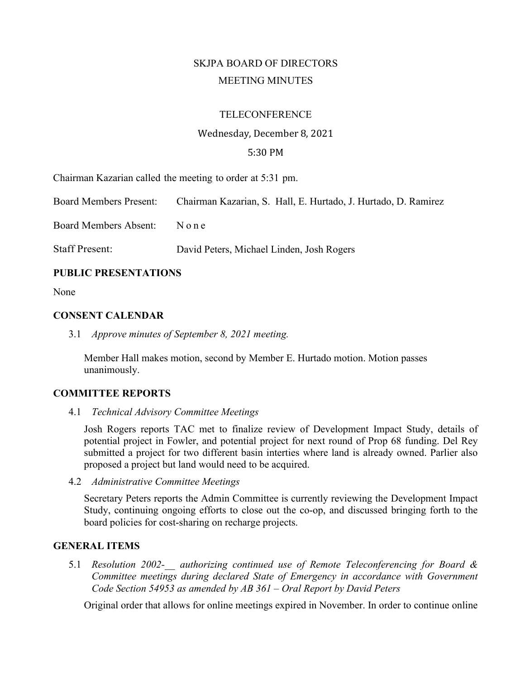# SKJPA BOARD OF DIRECTORS MEETING MINUTES

#### **TELECONFERENCE**

# Wednesday, December 8, 2021

## 5:30 PM

Chairman Kazarian called the meeting to order at 5:31 pm.

Board Members Present: Chairman Kazarian, S. Hall, E. Hurtado, J. Hurtado, D. Ramirez

Board Members Absent: None

Staff Present: David Peters, Michael Linden, Josh Rogers

### **PUBLIC PRESENTATIONS**

None

#### **CONSENT CALENDAR**

3.1 *Approve minutes of September 8, 2021 meeting.*

Member Hall makes motion, second by Member E. Hurtado motion. Motion passes unanimously.

# **COMMITTEE REPORTS**

4.1 *Technical Advisory Committee Meetings*

Josh Rogers reports TAC met to finalize review of Development Impact Study, details of potential project in Fowler, and potential project for next round of Prop 68 funding. Del Rey submitted a project for two different basin interties where land is already owned. Parlier also proposed a project but land would need to be acquired.

4.2 *Administrative Committee Meetings*

Secretary Peters reports the Admin Committee is currently reviewing the Development Impact Study, continuing ongoing efforts to close out the co-op, and discussed bringing forth to the board policies for cost-sharing on recharge projects.

#### **GENERAL ITEMS**

5.1 *Resolution 2002-\_\_ authorizing continued use of Remote Teleconferencing for Board & Committee meetings during declared State of Emergency in accordance with Government Code Section 54953 as amended by AB 361 – Oral Report by David Peters*

Original order that allows for online meetings expired in November. In order to continue online